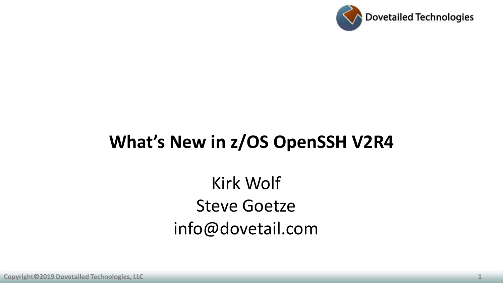

### **What's New in z/OS OpenSSH V2R4**

Kirk Wolf Steve Goetze info@dovetail.com

**Copyright©2019 Dovetailed Technologies, LLC** 1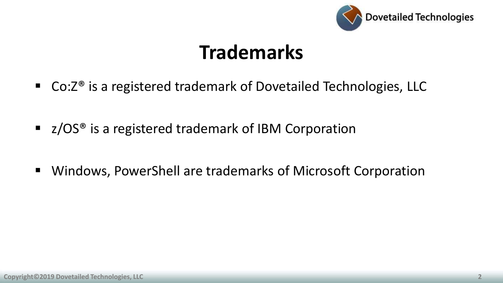

## **Trademarks**

- Co:Z<sup>®</sup> is a registered trademark of Dovetailed Technologies, LLC
- z/OS<sup>®</sup> is a registered trademark of IBM Corporation
- Windows, PowerShell are trademarks of Microsoft Corporation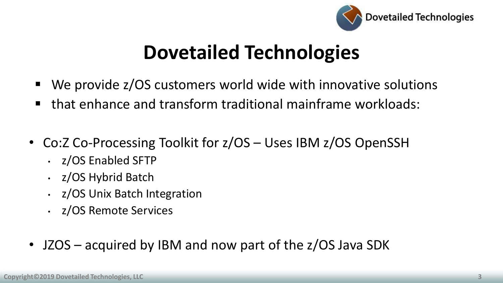

## **Dovetailed Technologies**

- We provide z/OS customers world wide with innovative solutions
- that enhance and transform traditional mainframe workloads:
- Co:Z Co-Processing Toolkit for z/OS Uses IBM z/OS OpenSSH
	- z/OS Enabled SFTP
	- z/OS Hybrid Batch
	- z/OS Unix Batch Integration
	- z/OS Remote Services
- JZOS acquired by IBM and now part of the z/OS Java SDK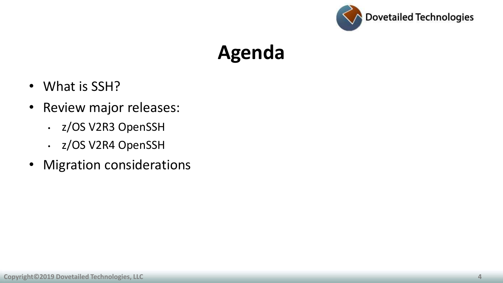

### **Agenda**

- What is SSH?
- Review major releases:
	- z/OS V2R3 OpenSSH
	- z/OS V2R4 OpenSSH
- Migration considerations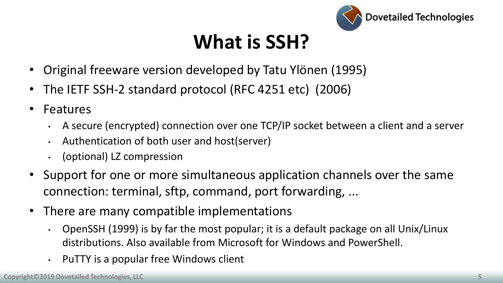

# **What is SSH?**

- Original freeware version developed by Tatu Ylönen (1995)
- The IETF SSH-2 standard protocol (RFC 4251 etc) (2006)
- Features
	- A secure (encrypted) connection over one TCP/IP socket between a client and a server
	- Authentication of both user and host(server)
	- (optional) LZ compression
- Support for one or more simultaneous application channels over the same connection: terminal, sftp, command, port forwarding, ...
- There are many compatible implementations
	- OpenSSH (1999) is by far the most popular; it is a default package on all Unix/Linux distributions. Also available from Microsoft for Windows and PowerShell.
	- PuTTY is a popular free Windows client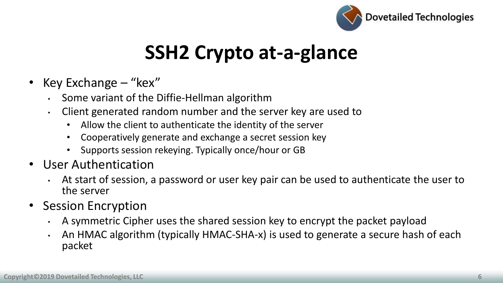

# **SSH2 Crypto at-a-glance**

- Key Exchange "kex"
	- Some variant of the Diffie-Hellman algorithm
	- Client generated random number and the server key are used to
		- Allow the client to authenticate the identity of the server
		- Cooperatively generate and exchange a secret session key
		- Supports session rekeying. Typically once/hour or GB
- User Authentication
	- At start of session, a password or user key pair can be used to authenticate the user to the server
- Session Encryption
	- A symmetric Cipher uses the shared session key to encrypt the packet payload
	- An HMAC algorithm (typically HMAC-SHA-x) is used to generate a secure hash of each packet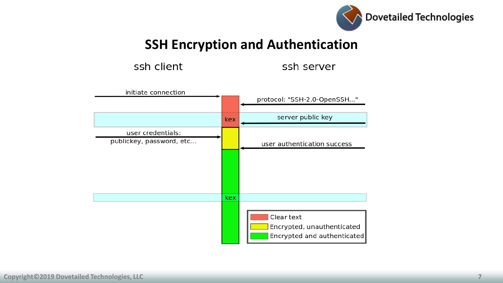

**SSH Encryption and Authentication** 

ssh client

ssh server

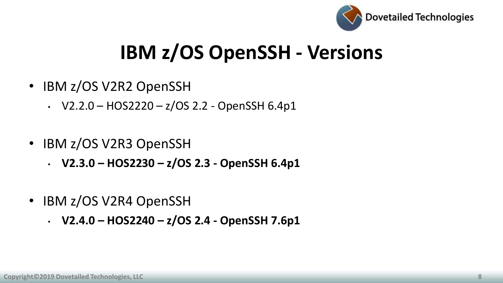

# **IBM z/OS OpenSSH - Versions**

- IBM z/OS V2R2 OpenSSH
	- V2.2.0 HOS2220  $z/OS$  2.2 OpenSSH 6.4p1
- IBM z/OS V2R3 OpenSSH
	- **V2.3.0 – HOS2230 – z/OS 2.3 - OpenSSH 6.4p1**
- IBM z/OS V2R4 OpenSSH
	- **V2.4.0 – HOS2240 – z/OS 2.4 - OpenSSH 7.6p1**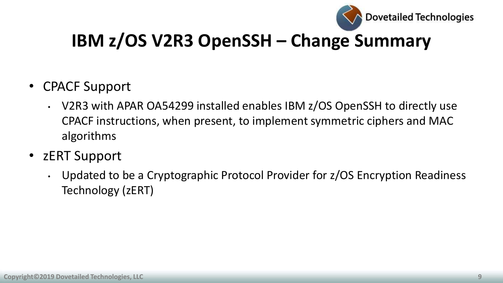

### **IBM z/OS V2R3 OpenSSH – Change Summary**

- CPACF Support
	- V2R3 with APAR OA54299 installed enables IBM z/OS OpenSSH to directly use CPACF instructions, when present, to implement symmetric ciphers and MAC algorithms
- zERT Support
	- Updated to be a Cryptographic Protocol Provider for z/OS Encryption Readiness Technology (zERT)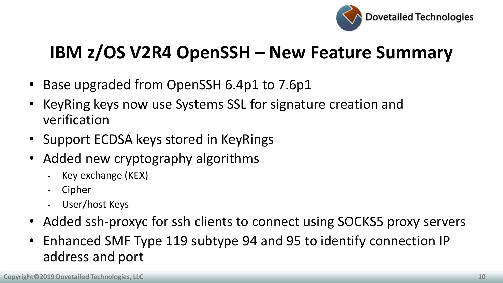

### **IBM z/OS V2R4 OpenSSH – New Feature Summary**

- Base upgraded from OpenSSH 6.4p1 to 7.6p1
- KeyRing keys now use Systems SSL for signature creation and verification
- Support ECDSA keys stored in KeyRings
- Added new cryptography algorithms
	- Key exchange (KEX)
	- Cipher
	- User/host Keys
- Added ssh-proxyc for ssh clients to connect using SOCKS5 proxy servers
- Enhanced SMF Type 119 subtype 94 and 95 to identify connection IP address and port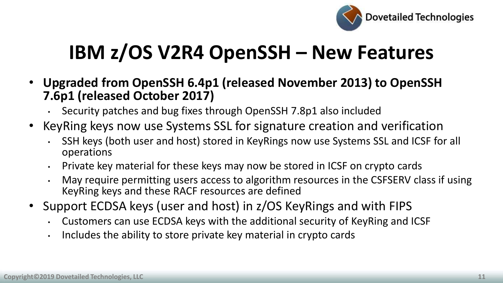

- **Upgraded from OpenSSH 6.4p1 (released November 2013) to OpenSSH 7.6p1 (released October 2017)**
	- Security patches and bug fixes through OpenSSH 7.8p1 also included
- KeyRing keys now use Systems SSL for signature creation and verification
	- SSH keys (both user and host) stored in KeyRings now use Systems SSL and ICSF for all operations
	- Private key material for these keys may now be stored in ICSF on crypto cards
	- May require permitting users access to algorithm resources in the CSFSERV class if using KeyRing keys and these RACF resources are defined
- Support ECDSA keys (user and host) in z/OS KeyRings and with FIPS
	- Customers can use ECDSA keys with the additional security of KeyRing and ICSF
	- Includes the ability to store private key material in crypto cards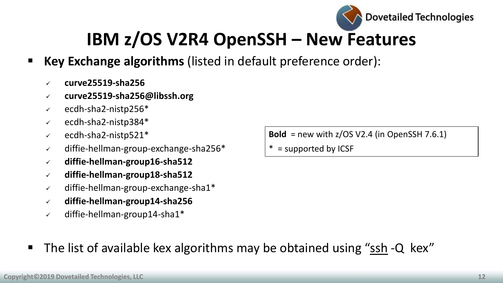

- **Key Exchange algorithms** (listed in default preference order):
	- **curve25519-sha256**
	- **curve25519-sha256@libssh.org**
	- $\checkmark$  ecdh-sha2-nistp256\*
	- $\checkmark$  ecdh-sha2-nistp384\*
	- $\checkmark$  ecdh-sha2-nistp521\*
	- $\checkmark$  diffie-hellman-group-exchange-sha256\*
	- **diffie-hellman-group16-sha512**
	- **diffie-hellman-group18-sha512**
	- $\checkmark$  diffie-hellman-group-exchange-sha1\*
	- **diffie-hellman-group14-sha256**
	- $\checkmark$  diffie-hellman-group14-sha1\*

**Bold** = new with z/OS V2.4 (in OpenSSH 7.6.1)

 $* =$  supported by ICSF

■ The list of available kex algorithms may be obtained using "ssh -Q kex"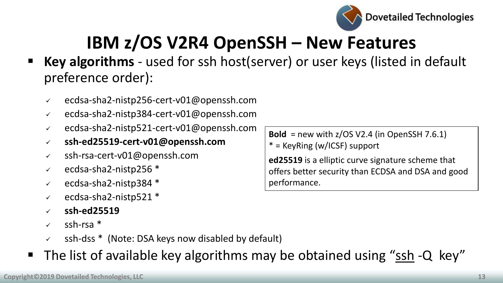

- **Key algorithms** used for ssh host(server) or user keys (listed in default preference order):
	- ecdsa-sha2-nistp256-cert-v01@openssh.com
	- $\checkmark$  ecdsa-sha2-nistp384-cert-v01@openssh.com
	- $\sim$  ecdsa-sha2-nistp521-cert-v01@openssh.com
	- **ssh-ed25519-cert-v01@openssh.com**
	- ssh-rsa-cert-v01@openssh.com
	- $\sqrt{ }$  ecdsa-sha2-nistp256  $\ast$
	- $\sqrt{ }$  ecdsa-sha2-nistp384  $\ast$
	- $\sqrt{ }$  ecdsa-sha2-nistp521  $\ast$
	- **ssh-ed25519**
	- $\sqrt{ }$  ssh-rsa  $*$
	- ssh-dss \* (Note: DSA keys now disabled by default)
- The list of available key algorithms may be obtained using "ssh -Q key"

**Bold** = new with z/OS V2.4 (in OpenSSH 7.6.1) \* = KeyRing (w/ICSF) support

**ed25519** is a elliptic curve signature scheme that offers better security than ECDSA and DSA and good performance.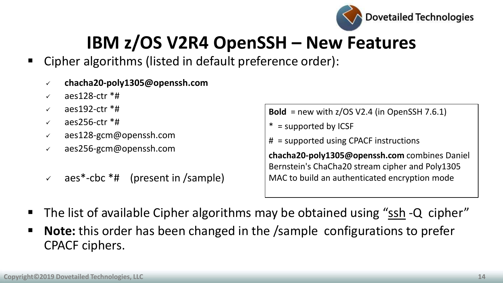

- Cipher algorithms (listed in default preference order):
	- **chacha20-poly1305@openssh.com**
	- aes128-ctr \*#
	- $\sqrt{ }$  aes192-ctr  $*$ #
	- $\sqrt{ }$  aes256-ctr  $*$ #
	- $\sqrt{ }$  aes128-gcm@openssh.com
	- aes256-gcm@openssh.com
	- $\sqrt{ }$  aes\*-cbc \*# (present in /sample)

**Bold** = new with z/OS V2.4 (in OpenSSH 7.6.1)

- $* =$  supported by ICSF
- # = supported using CPACF instructions

**chacha20-poly1305@openssh.com** combines Daniel Bernstein's ChaCha20 stream cipher and Poly1305 MAC to build an authenticated encryption mode

- The list of available Cipher algorithms may be obtained using "ssh -Q cipher"
- **Note:** this order has been changed in the /sample configurations to prefer CPACF ciphers.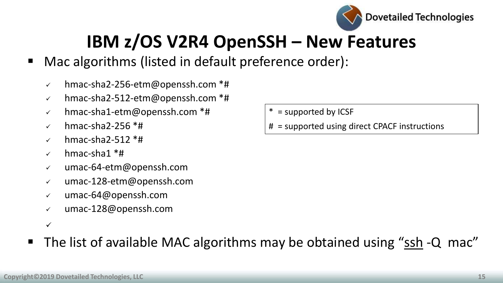

- Mac algorithms (listed in default preference order):
	- $\sim$  hmac-sha2-256-etm@openssh.com \*#
	- $\sim$  hmac-sha2-512-etm@openssh.com \*#
	- $\checkmark$  hmac-sha1-etm@openssh.com \*#
	- $\checkmark$  hmac-sha2-256  $*$ #
	- $\checkmark$  hmac-sha2-512  $*$ #
	- $\checkmark$  hmac-sha1 \*#
	- umac-64-etm@openssh.com
	- umac-128-etm@openssh.com
	- umac-64@openssh.com
	- umac-128@openssh.com
	- $\checkmark$
- The list of available MAC algorithms may be obtained using "ssh -Q mac"
- $* =$  supported by ICSF
- # = supported using direct CPACF instructions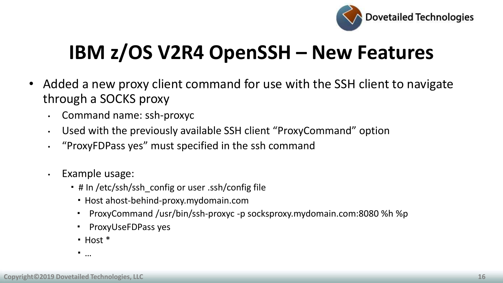

- Added a new proxy client command for use with the SSH client to navigate through a SOCKS proxy
	- Command name: ssh-proxyc
	- Used with the previously available SSH client "ProxyCommand" option
	- "ProxyFDPass yes" must specified in the ssh command
	- Example usage:
		- **.** # In /etc/ssh/ssh\_config or user .ssh/config file
			- Host ahost-behind-proxy.mydomain.com
			- ProxyCommand /usr/bin/ssh-proxyc -p socksproxy.mydomain.com:8080 %h %p
			- **ProxyUseFDPass yes**
			- $\blacksquare$  Host  $*$
		- …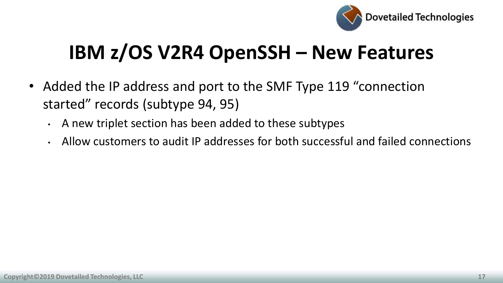

- Added the IP address and port to the SMF Type 119 "connection started" records (subtype 94, 95)
	- A new triplet section has been added to these subtypes
	- Allow customers to audit IP addresses for both successful and failed connections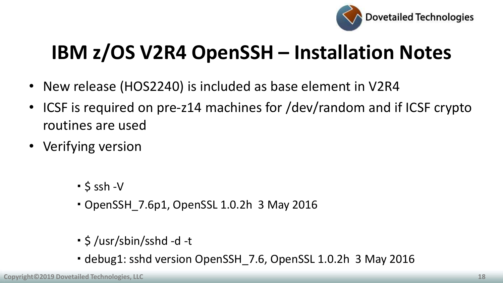

# **IBM z/OS V2R4 OpenSSH – Installation Notes**

- New release (HOS2240) is included as base element in V2R4
- ICSF is required on pre-z14 machines for /dev/random and if ICSF crypto routines are used
- Verifying version
	- $-$  \$ ssh -V
	- OpenSSH\_7.6p1, OpenSSL 1.0.2h 3 May 2016
	- \$ /usr/sbin/sshd -d -t
	- debug1: sshd version OpenSSH\_7.6, OpenSSL 1.0.2h 3 May 2016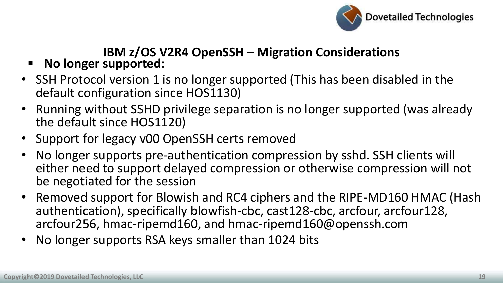

- **No longer supported:**
- SSH Protocol version 1 is no longer supported (This has been disabled in the default configuration since HOS1130)
- Running without SSHD privilege separation is no longer supported (was already the default since HOS1120)
- Support for legacy v00 OpenSSH certs removed
- No longer supports pre-authentication compression by sshd. SSH clients will either need to support delayed compression or otherwise compression will not be negotiated for the session
- Removed support for Blowish and RC4 ciphers and the RIPE-MD160 HMAC (Hash authentication), specifically blowfish-cbc, cast128-cbc, arcfour, arcfour128, arcfour256, hmac-ripemd160, and hmac-ripemd160@openssh.com
- No longer supports RSA keys smaller than 1024 bits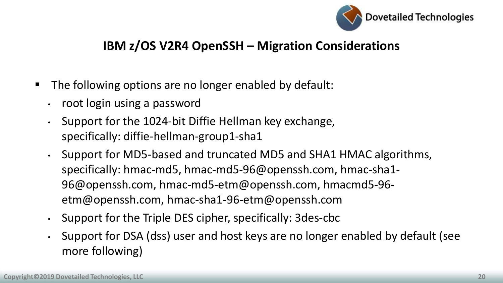

- **The following options are no longer enabled by default:** 
	- root login using a password
	- Support for the 1024-bit Diffie Hellman key exchange, specifically: diffie-hellman-group1-sha1
	- Support for MD5-based and truncated MD5 and SHA1 HMAC algorithms, specifically: hmac-md5, hmac-md5-96@openssh.com, hmac-sha1- 96@openssh.com, hmac-md5-etm@openssh.com, hmacmd5-96 etm@openssh.com, hmac-sha1-96-etm@openssh.com
	- Support for the Triple DES cipher, specifically: 3des-cbc
	- Support for DSA (dss) user and host keys are no longer enabled by default (see more following)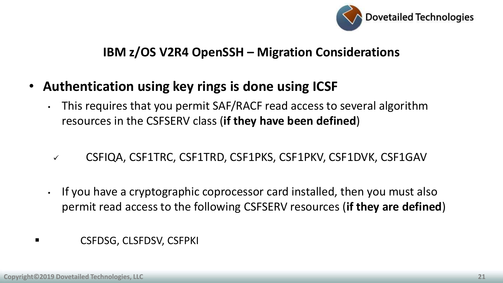

- **Authentication using key rings is done using ICSF**
	- This requires that you permit SAF/RACF read access to several algorithm resources in the CSFSERV class (**if they have been defined**)
	- CSFIQA, CSF1TRC, CSF1TRD, CSF1PKS, CSF1PKV, CSF1DVK, CSF1GAV
	- If you have a cryptographic coprocessor card installed, then you must also permit read access to the following CSFSERV resources (**if they are defined**)
- **Example 3** CSFDSG, CLSFDSV, CSFPKI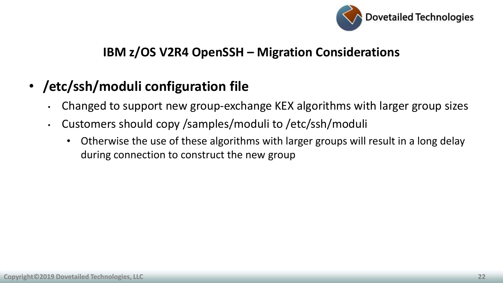

### • **/etc/ssh/moduli configuration file**

- Changed to support new group-exchange KEX algorithms with larger group sizes
- Customers should copy /samples/moduli to /etc/ssh/moduli
	- Otherwise the use of these algorithms with larger groups will result in a long delay during connection to construct the new group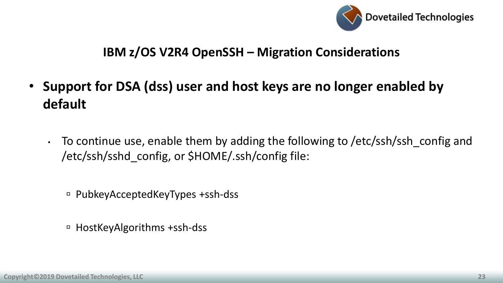

- **Support for DSA (dss) user and host keys are no longer enabled by default**
	- To continue use, enable them by adding the following to /etc/ssh/ssh\_config and /etc/ssh/sshd\_config, or \$HOME/.ssh/config file:
		- PubkeyAcceptedKeyTypes +ssh-dss
		- HostKeyAlgorithms +ssh-dss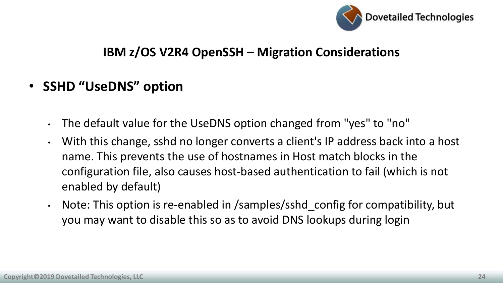

- **SSHD "UseDNS" option**
	- The default value for the UseDNS option changed from "yes" to "no"
	- With this change, sshd no longer converts a client's IP address back into a host name. This prevents the use of hostnames in Host match blocks in the configuration file, also causes host-based authentication to fail (which is not enabled by default)
	- Note: This option is re-enabled in /samples/sshd config for compatibility, but you may want to disable this so as to avoid DNS lookups during login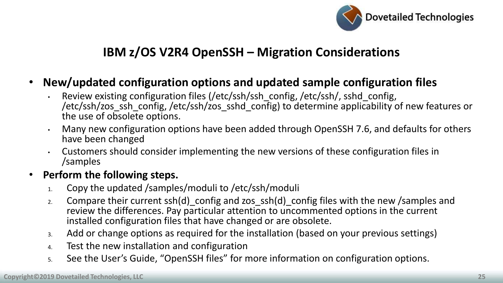

- **New/updated configuration options and updated sample configuration files**
	- Review existing configuration files (/etc/ssh/ssh\_config, /etc/ssh/, sshd\_config, /etc/ssh/zos\_ssh\_config, /etc/ssh/zos\_sshd\_config) to determine applicability of new features or the use of obsolete options.
	- Many new configuration options have been added through OpenSSH 7.6, and defaults for others have been changed
	- Customers should consider implementing the new versions of these configuration files in /samples

#### • **Perform the following steps.**

- 1. Copy the updated /samples/moduli to /etc/ssh/moduli
- 2. Compare their current ssh(d)\_config and zos\_ssh(d)\_config files with the new /samples and review the differences. Pay particular attention to uncommented options in the current installed configuration files that have changed or are obsolete.
- 3. Add or change options as required for the installation (based on your previous settings)
- 4. Test the new installation and configuration
- 5. See the User's Guide, "OpenSSH files" for more information on configuration options.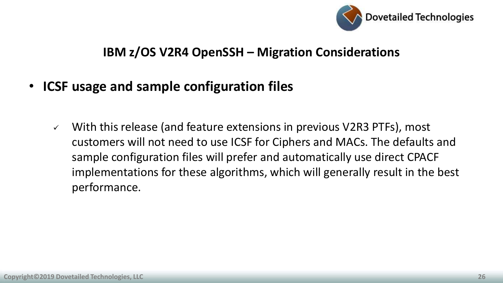

#### • **ICSF usage and sample configuration files**

 $\checkmark$  With this release (and feature extensions in previous V2R3 PTFs), most customers will not need to use ICSF for Ciphers and MACs. The defaults and sample configuration files will prefer and automatically use direct CPACF implementations for these algorithms, which will generally result in the best performance.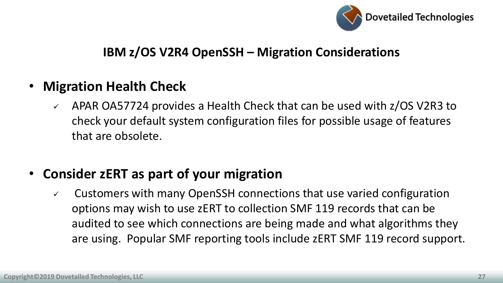

#### • **Migration Health Check**

 APAR OA57724 provides a Health Check that can be used with z/OS V2R3 to check your default system configuration files for possible usage of features that are obsolete.

### • **Consider zERT as part of your migration**

 $\checkmark$  Customers with many OpenSSH connections that use varied configuration options may wish to use zERT to collection SMF 119 records that can be audited to see which connections are being made and what algorithms they are using. Popular SMF reporting tools include zERT SMF 119 record support.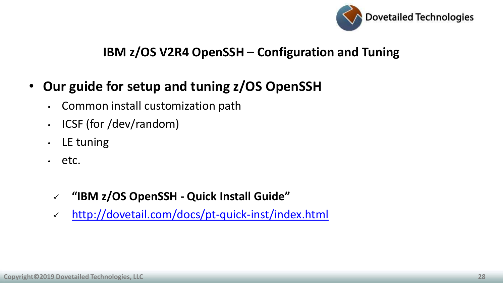

#### **IBM z/OS V2R4 OpenSSH – Configuration and Tuning**

### • **Our guide for setup and tuning z/OS OpenSSH**

- Common install customization path
- ICSF (for /dev/random)
- LE tuning
- etc.
	- **"IBM z/OS OpenSSH - Quick Install Guide"**
	- <http://dovetail.com/docs/pt-quick-inst/index.html>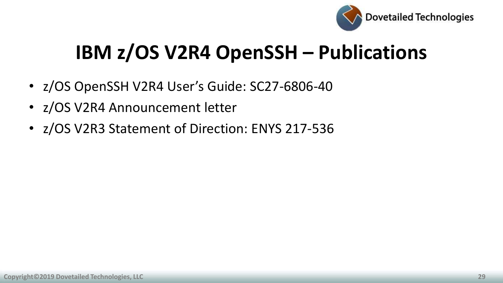

# **IBM z/OS V2R4 OpenSSH – Publications**

- z/OS OpenSSH V2R4 User's Guide: SC27-6806-40
- z/OS V2R4 Announcement letter
- z/OS V2R3 Statement of Direction: ENYS 217-536